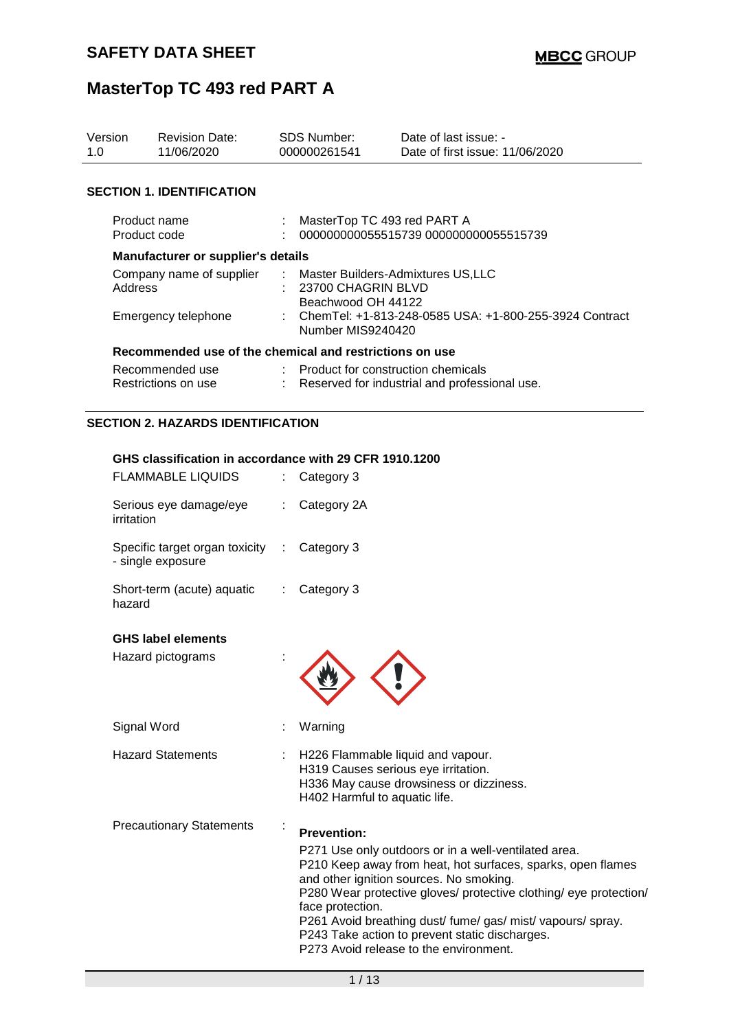| Version<br>1.0               | <b>Revision Date:</b><br>11/06/2020                     |  | <b>SDS Number:</b><br>000000261541                                              | Date of last issue: -<br>Date of first issue: 11/06/2020 |  |  |  |
|------------------------------|---------------------------------------------------------|--|---------------------------------------------------------------------------------|----------------------------------------------------------|--|--|--|
|                              | <b>SECTION 1. IDENTIFICATION</b>                        |  |                                                                                 |                                                          |  |  |  |
| Product name<br>Product code |                                                         |  | MasterTop TC 493 red PART A<br>000000000055515739 000000000055515739            |                                                          |  |  |  |
|                              | <b>Manufacturer or supplier's details</b>               |  |                                                                                 |                                                          |  |  |  |
|                              | Company name of supplier<br>Address                     |  | : Master Builders-Admixtures US,LLC<br>23700 CHAGRIN BLVD<br>Beachwood OH 44122 |                                                          |  |  |  |
|                              | Emergency telephone                                     |  | Number MIS9240420                                                               | : ChemTel: +1-813-248-0585 USA: +1-800-255-3924 Contract |  |  |  |
|                              | Recommended use of the chemical and restrictions on use |  |                                                                                 |                                                          |  |  |  |
|                              | Recommended use<br>Restrictions on use                  |  | : Product for construction chemicals                                            | Reserved for industrial and professional use.            |  |  |  |

### **SECTION 2. HAZARDS IDENTIFICATION**

#### **GHS classification in accordance with 29 CFR 1910.1200**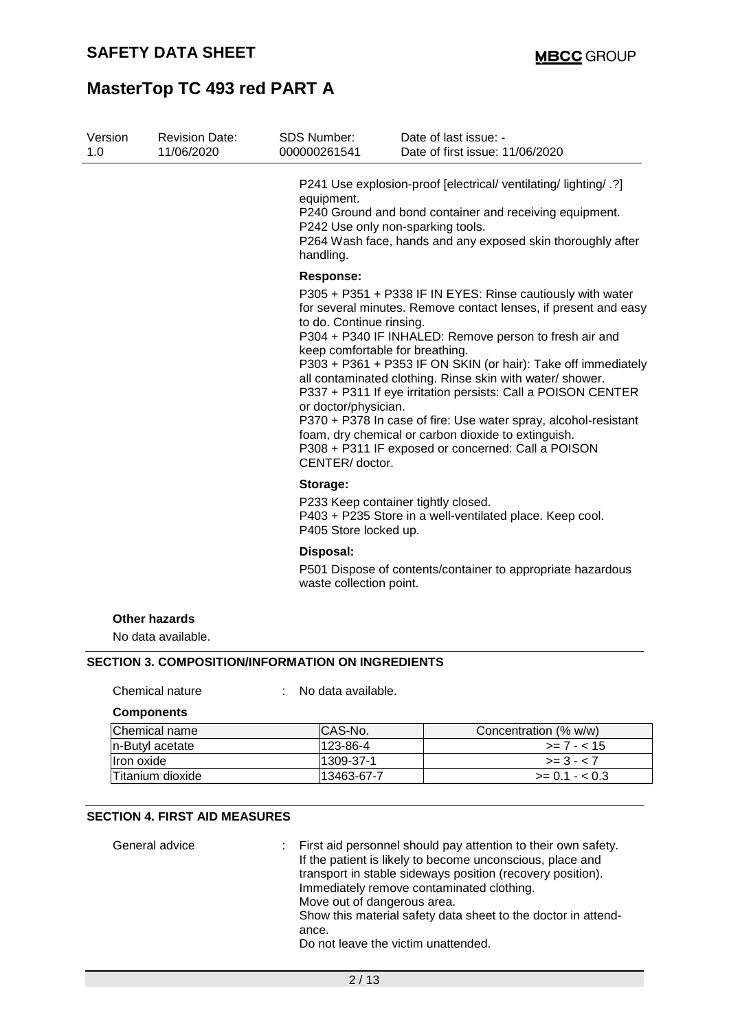| Version<br>1.0 | <b>Revision Date:</b><br>11/06/2020                      | SDS Number:<br>000000261541                                                                                                | Date of last issue: -<br>Date of first issue: 11/06/2020                                                                                                                                                                                                                                                                                                                                                                                                                                                                                                              |
|----------------|----------------------------------------------------------|----------------------------------------------------------------------------------------------------------------------------|-----------------------------------------------------------------------------------------------------------------------------------------------------------------------------------------------------------------------------------------------------------------------------------------------------------------------------------------------------------------------------------------------------------------------------------------------------------------------------------------------------------------------------------------------------------------------|
|                |                                                          | equipment.<br>handling.                                                                                                    | P241 Use explosion-proof [electrical/ ventilating/ lighting/ .?]<br>P240 Ground and bond container and receiving equipment.<br>P242 Use only non-sparking tools.<br>P264 Wash face, hands and any exposed skin thoroughly after                                                                                                                                                                                                                                                                                                                                       |
|                |                                                          | <b>Response:</b><br>to do. Continue rinsing.<br>keep comfortable for breathing.<br>or doctor/physician.<br>CENTER/ doctor. | P305 + P351 + P338 IF IN EYES: Rinse cautiously with water<br>for several minutes. Remove contact lenses, if present and easy<br>P304 + P340 IF INHALED: Remove person to fresh air and<br>P303 + P361 + P353 IF ON SKIN (or hair): Take off immediately<br>all contaminated clothing. Rinse skin with water/ shower.<br>P337 + P311 If eye irritation persists: Call a POISON CENTER<br>P370 + P378 In case of fire: Use water spray, alcohol-resistant<br>foam, dry chemical or carbon dioxide to extinguish.<br>P308 + P311 IF exposed or concerned: Call a POISON |
|                |                                                          | Storage:<br>P405 Store locked up.                                                                                          | P233 Keep container tightly closed.<br>P403 + P235 Store in a well-ventilated place. Keep cool.                                                                                                                                                                                                                                                                                                                                                                                                                                                                       |
|                |                                                          | Disposal:<br>waste collection point.                                                                                       | P501 Dispose of contents/container to appropriate hazardous                                                                                                                                                                                                                                                                                                                                                                                                                                                                                                           |
|                | <b>Other hazards</b><br>No data available.               |                                                                                                                            |                                                                                                                                                                                                                                                                                                                                                                                                                                                                                                                                                                       |
|                | <b>SECTION 3. COMPOSITION/INFORMATION ON INGREDIENTS</b> |                                                                                                                            |                                                                                                                                                                                                                                                                                                                                                                                                                                                                                                                                                                       |
|                | Chemical nature                                          | No data available.                                                                                                         |                                                                                                                                                                                                                                                                                                                                                                                                                                                                                                                                                                       |
|                | <b>Components</b>                                        |                                                                                                                            |                                                                                                                                                                                                                                                                                                                                                                                                                                                                                                                                                                       |

| IChemical name   | ICAS-No.    | Concentration (% w/w) |
|------------------|-------------|-----------------------|
| In-Butyl acetate | 123-86-4    | $>= 7 - 15$           |
| Ilron oxide      | 1309-37-1   | $>= 3 - 7$            |
| Titanium dioxide | l13463-67-7 | $>= 0.1 - 0.3$        |

### **SECTION 4. FIRST AID MEASURES**

| General advice | : First aid personnel should pay attention to their own safety.<br>If the patient is likely to become unconscious, place and<br>transport in stable sideways position (recovery position).<br>Immediately remove contaminated clothing. |
|----------------|-----------------------------------------------------------------------------------------------------------------------------------------------------------------------------------------------------------------------------------------|
|                | Move out of dangerous area.<br>Show this material safety data sheet to the doctor in attend-                                                                                                                                            |
|                | ance.                                                                                                                                                                                                                                   |
|                | Do not leave the victim unattended.                                                                                                                                                                                                     |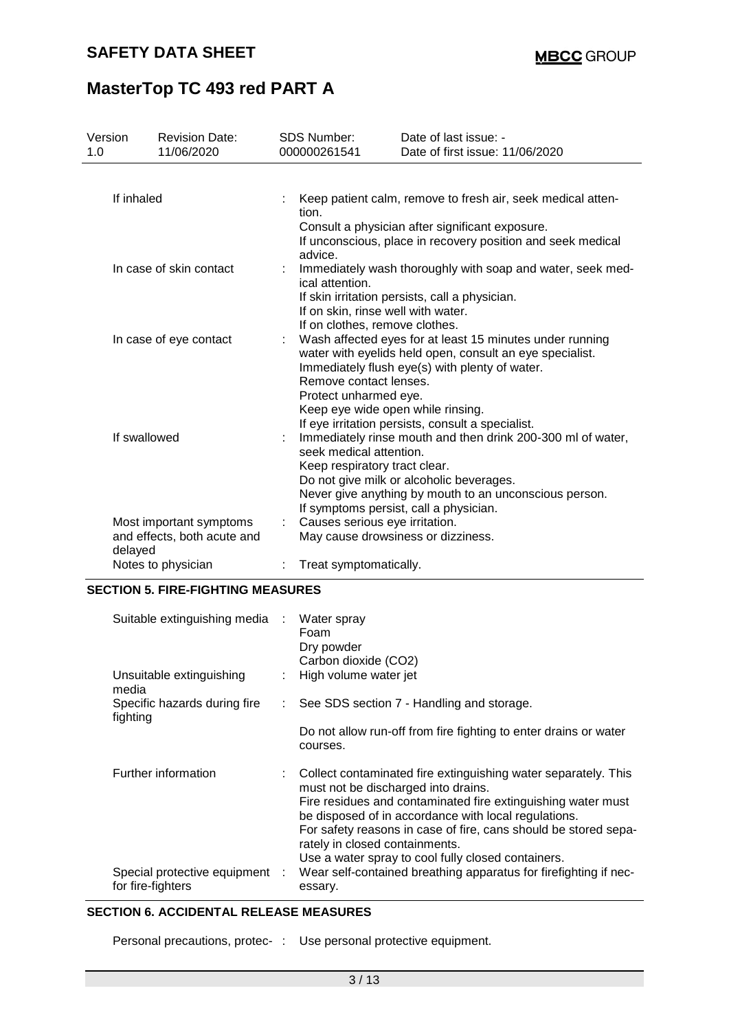| Version | <b>Revision Date:</b>       |  | <b>SDS Number:</b>                                                                                                      | Date of last issue: -                                                                            |  |  |  |  |
|---------|-----------------------------|--|-------------------------------------------------------------------------------------------------------------------------|--------------------------------------------------------------------------------------------------|--|--|--|--|
| 1.0     | 11/06/2020                  |  | 000000261541                                                                                                            | Date of first issue: 11/06/2020                                                                  |  |  |  |  |
|         |                             |  |                                                                                                                         |                                                                                                  |  |  |  |  |
|         | If inhaled                  |  | Keep patient calm, remove to fresh air, seek medical atten-<br>tion.<br>Consult a physician after significant exposure. |                                                                                                  |  |  |  |  |
|         |                             |  | advice.                                                                                                                 | If unconscious, place in recovery position and seek medical                                      |  |  |  |  |
|         | In case of skin contact     |  | ical attention.                                                                                                         | Immediately wash thoroughly with soap and water, seek med-                                       |  |  |  |  |
|         |                             |  |                                                                                                                         | If skin irritation persists, call a physician.                                                   |  |  |  |  |
|         |                             |  |                                                                                                                         | If on skin, rinse well with water.                                                               |  |  |  |  |
|         | In case of eye contact      |  | If on clothes, remove clothes.                                                                                          | Wash affected eyes for at least 15 minutes under running                                         |  |  |  |  |
|         |                             |  |                                                                                                                         | water with eyelids held open, consult an eye specialist.                                         |  |  |  |  |
|         |                             |  |                                                                                                                         | Immediately flush eye(s) with plenty of water.                                                   |  |  |  |  |
|         |                             |  | Remove contact lenses.                                                                                                  |                                                                                                  |  |  |  |  |
|         |                             |  | Protect unharmed eye.                                                                                                   | Keep eye wide open while rinsing.                                                                |  |  |  |  |
|         |                             |  |                                                                                                                         | If eye irritation persists, consult a specialist.                                                |  |  |  |  |
|         | If swallowed                |  |                                                                                                                         | Immediately rinse mouth and then drink 200-300 ml of water,                                      |  |  |  |  |
|         |                             |  | seek medical attention.                                                                                                 |                                                                                                  |  |  |  |  |
|         |                             |  | Keep respiratory tract clear.                                                                                           |                                                                                                  |  |  |  |  |
|         |                             |  |                                                                                                                         | Do not give milk or alcoholic beverages.                                                         |  |  |  |  |
|         |                             |  |                                                                                                                         | Never give anything by mouth to an unconscious person.<br>If symptoms persist, call a physician. |  |  |  |  |
|         | Most important symptoms     |  | Causes serious eye irritation.                                                                                          |                                                                                                  |  |  |  |  |
| delayed | and effects, both acute and |  |                                                                                                                         | May cause drowsiness or dizziness.                                                               |  |  |  |  |
|         | Notes to physician          |  | Treat symptomatically.                                                                                                  |                                                                                                  |  |  |  |  |
|         |                             |  |                                                                                                                         |                                                                                                  |  |  |  |  |

#### **SECTION 5. FIRE-FIGHTING MEASURES**

| Suitable extinguishing media :                      | Water spray<br>Foam<br>Dry powder<br>Carbon dioxide (CO2)                                                                                                                                                                                                                                                                                                                                  |
|-----------------------------------------------------|--------------------------------------------------------------------------------------------------------------------------------------------------------------------------------------------------------------------------------------------------------------------------------------------------------------------------------------------------------------------------------------------|
| Unsuitable extinguishing<br>media                   | High volume water jet                                                                                                                                                                                                                                                                                                                                                                      |
| Specific hazards during fire<br>fighting            | $\therefore$ See SDS section 7 - Handling and storage.                                                                                                                                                                                                                                                                                                                                     |
|                                                     | Do not allow run-off from fire fighting to enter drains or water<br>courses.                                                                                                                                                                                                                                                                                                               |
| Further information                                 | : Collect contaminated fire extinguishing water separately. This<br>must not be discharged into drains.<br>Fire residues and contaminated fire extinguishing water must<br>be disposed of in accordance with local regulations.<br>For safety reasons in case of fire, cans should be stored sepa-<br>rately in closed containments.<br>Use a water spray to cool fully closed containers. |
| Special protective equipment :<br>for fire-fighters | Wear self-contained breathing apparatus for firefighting if nec-<br>essary.                                                                                                                                                                                                                                                                                                                |

#### **SECTION 6. ACCIDENTAL RELEASE MEASURES**

Personal precautions, protec- : Use personal protective equipment.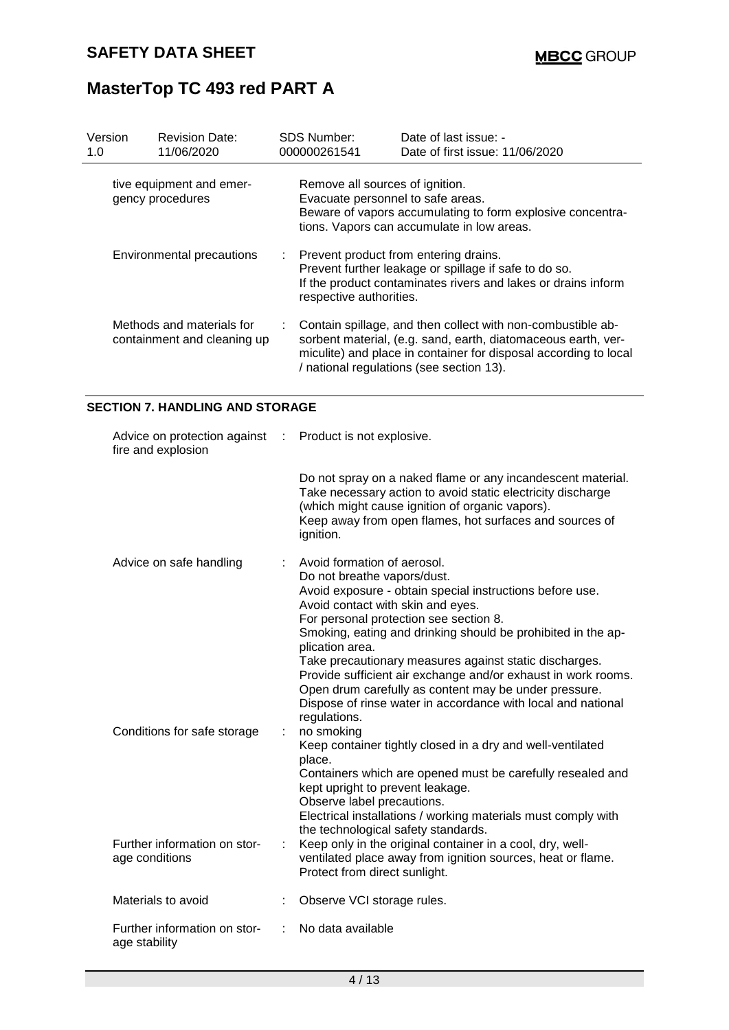| Version<br>1.0 | <b>Revision Date:</b><br>11/06/2020                      | <b>SDS Number:</b><br>000000261541                                   | Date of last issue: -<br>Date of first issue: 11/06/2020                                                                                                                                                                                     |
|----------------|----------------------------------------------------------|----------------------------------------------------------------------|----------------------------------------------------------------------------------------------------------------------------------------------------------------------------------------------------------------------------------------------|
|                | tive equipment and emer-<br>gency procedures             | Remove all sources of ignition.<br>Evacuate personnel to safe areas. | Beware of vapors accumulating to form explosive concentra-<br>tions. Vapors can accumulate in low areas.                                                                                                                                     |
|                | Environmental precautions                                | respective authorities.                                              | : Prevent product from entering drains.<br>Prevent further leakage or spillage if safe to do so.<br>If the product contaminates rivers and lakes or drains inform                                                                            |
|                | Methods and materials for<br>containment and cleaning up |                                                                      | Contain spillage, and then collect with non-combustible ab-<br>sorbent material, (e.g. sand, earth, diatomaceous earth, ver-<br>miculite) and place in container for disposal according to local<br>/ national regulations (see section 13). |

### **SECTION 7. HANDLING AND STORAGE**

| Advice on protection against : Product is not explosive.<br>fire and explosion |                                                                                                                                                                                                                                                                                                                                              |
|--------------------------------------------------------------------------------|----------------------------------------------------------------------------------------------------------------------------------------------------------------------------------------------------------------------------------------------------------------------------------------------------------------------------------------------|
|                                                                                | Do not spray on a naked flame or any incandescent material.<br>Take necessary action to avoid static electricity discharge<br>(which might cause ignition of organic vapors).<br>Keep away from open flames, hot surfaces and sources of<br>ignition.                                                                                        |
| Advice on safe handling                                                        | Avoid formation of aerosol.<br>Do not breathe vapors/dust.<br>Avoid exposure - obtain special instructions before use.<br>Avoid contact with skin and eyes.<br>For personal protection see section 8.<br>Smoking, eating and drinking should be prohibited in the ap-<br>plication area.                                                     |
| Conditions for safe storage                                                    | Take precautionary measures against static discharges.<br>Provide sufficient air exchange and/or exhaust in work rooms.<br>Open drum carefully as content may be under pressure.<br>Dispose of rinse water in accordance with local and national<br>regulations.<br>no smoking<br>Keep container tightly closed in a dry and well-ventilated |
|                                                                                | place.<br>Containers which are opened must be carefully resealed and<br>kept upright to prevent leakage.<br>Observe label precautions.<br>Electrical installations / working materials must comply with<br>the technological safety standards.                                                                                               |
| Further information on stor-<br>age conditions                                 | Keep only in the original container in a cool, dry, well-<br>ventilated place away from ignition sources, heat or flame.<br>Protect from direct sunlight.                                                                                                                                                                                    |
| Materials to avoid                                                             | Observe VCI storage rules.                                                                                                                                                                                                                                                                                                                   |
| Further information on stor-<br>age stability                                  | No data available                                                                                                                                                                                                                                                                                                                            |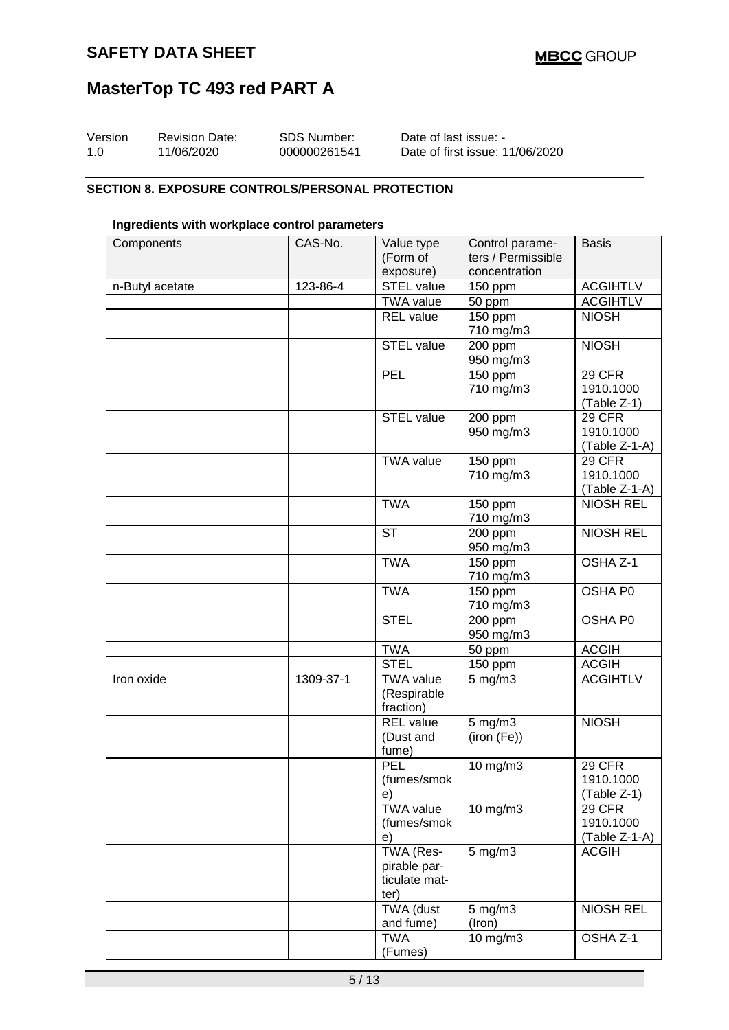| Version | <b>Revision Date:</b> | SDS Number:  | Date of last issue: -           |
|---------|-----------------------|--------------|---------------------------------|
| 1.0     | 11/06/2020            | 000000261541 | Date of first issue: 11/06/2020 |

### **SECTION 8. EXPOSURE CONTROLS/PERSONAL PROTECTION**

### **Ingredients with workplace control parameters**

| Components      | CAS-No.   | Value type        | Control parame-      | <b>Basis</b>                        |
|-----------------|-----------|-------------------|----------------------|-------------------------------------|
|                 |           | (Form of          | ters / Permissible   |                                     |
|                 |           | exposure)         | concentration        |                                     |
| n-Butyl acetate | 123-86-4  | STEL value        | 150 ppm              | <b>ACGIHTLV</b>                     |
|                 |           | <b>TWA value</b>  | 50 ppm               | <b>ACGIHTLV</b>                     |
|                 |           | <b>REL</b> value  | 150 ppm              | <b>NIOSH</b>                        |
|                 |           |                   | 710 mg/m3            |                                     |
|                 |           | <b>STEL value</b> | 200 ppm              | <b>NIOSH</b>                        |
|                 |           |                   | 950 mg/m3            |                                     |
|                 |           | <b>PEL</b>        | 150 ppm              | <b>29 CFR</b>                       |
|                 |           |                   | 710 mg/m3            | 1910.1000                           |
|                 |           |                   |                      | (Table Z-1)                         |
|                 |           | <b>STEL value</b> | 200 ppm              | 29 CFR                              |
|                 |           |                   | 950 mg/m3            | 1910.1000                           |
|                 |           |                   |                      |                                     |
|                 |           | <b>TWA value</b>  |                      | $(Table Z-1-A)$                     |
|                 |           |                   | 150 ppm<br>710 mg/m3 | 29 CFR<br>1910.1000                 |
|                 |           |                   |                      |                                     |
|                 |           |                   |                      | $(Table Z-1-A)$<br><b>NIOSH REL</b> |
|                 |           | <b>TWA</b>        | 150 ppm              |                                     |
|                 |           |                   | 710 mg/m3            |                                     |
|                 |           | <b>ST</b>         | 200 ppm              | <b>NIOSH REL</b>                    |
|                 |           |                   | 950 mg/m3            |                                     |
|                 |           | <b>TWA</b>        | $\overline{150}$ ppm | OSHA Z-1                            |
|                 |           |                   | 710 mg/m3            |                                     |
|                 |           | <b>TWA</b>        | $\overline{150}$ ppm | OSHA P0                             |
|                 |           |                   | 710 mg/m3            |                                     |
|                 |           | <b>STEL</b>       | 200 ppm              | OSHA P0                             |
|                 |           |                   | 950 mg/m3            |                                     |
|                 |           | <b>TWA</b>        | 50 ppm               | <b>ACGIH</b>                        |
|                 |           | <b>STEL</b>       | 150 ppm              | <b>ACGIH</b>                        |
| Iron oxide      | 1309-37-1 | <b>TWA value</b>  | $5$ mg/m $3$         | <b>ACGIHTLV</b>                     |
|                 |           | (Respirable       |                      |                                     |
|                 |           | fraction)         |                      |                                     |
|                 |           | <b>REL</b> value  | $5$ mg/m $3$         | <b>NIOSH</b>                        |
|                 |           | (Dust and         | (iron (Fe))          |                                     |
|                 |           | fume)             |                      |                                     |
|                 |           | PEL               | 10 mg/m3             | 29 CFR                              |
|                 |           | (fumes/smok       |                      | 1910.1000                           |
|                 |           | e)                |                      | (Table Z-1)                         |
|                 |           | <b>TWA value</b>  | 10 mg/m3             | <b>29 CFR</b>                       |
|                 |           | (fumes/smok       |                      | 1910.1000                           |
|                 |           | e)                |                      | (Table Z-1-A)                       |
|                 |           | TWA (Res-         | 5 mg/m3              | <b>ACGIH</b>                        |
|                 |           | pirable par-      |                      |                                     |
|                 |           | ticulate mat-     |                      |                                     |
|                 |           | ter)              |                      |                                     |
|                 |           | <b>TWA</b> (dust  | 5 mg/m3              | <b>NIOSH REL</b>                    |
|                 |           | and fume)         | (Iron)               |                                     |
|                 |           | <b>TWA</b>        | 10 mg/m3             | OSHA Z-1                            |
|                 |           | (Fumes)           |                      |                                     |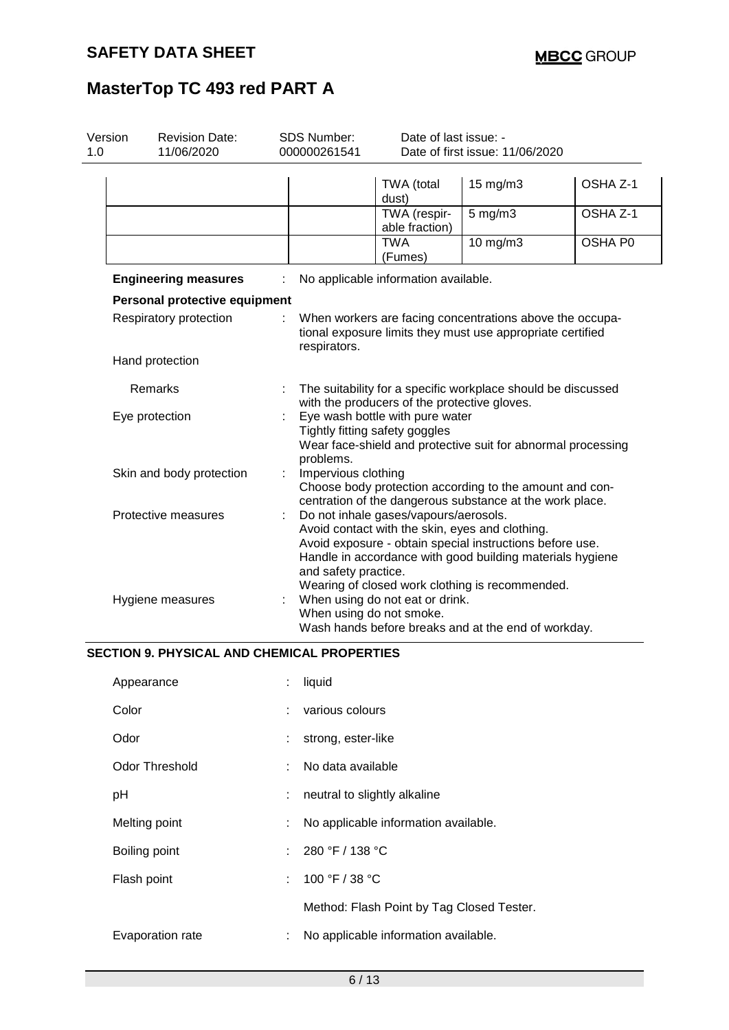| 1.0 | <b>SDS Number:</b><br>Version<br><b>Revision Date:</b><br>11/06/2020<br>000000261541                                                                             |  |                                                                                                                                                                                                                                                                                                                                 | Date of last issue: -<br>Date of first issue: 11/06/2020                                                     |                                                                                                                        |                     |  |
|-----|------------------------------------------------------------------------------------------------------------------------------------------------------------------|--|---------------------------------------------------------------------------------------------------------------------------------------------------------------------------------------------------------------------------------------------------------------------------------------------------------------------------------|--------------------------------------------------------------------------------------------------------------|------------------------------------------------------------------------------------------------------------------------|---------------------|--|
|     |                                                                                                                                                                  |  |                                                                                                                                                                                                                                                                                                                                 | TWA (total<br>dust)                                                                                          | $15 \text{ mg/m}$                                                                                                      | OSHA Z-1            |  |
|     |                                                                                                                                                                  |  |                                                                                                                                                                                                                                                                                                                                 | TWA (respir-<br>able fraction)                                                                               | $5$ mg/m $3$                                                                                                           | OSHA <sub>Z-1</sub> |  |
|     |                                                                                                                                                                  |  |                                                                                                                                                                                                                                                                                                                                 | <b>TWA</b><br>(Fumes)                                                                                        | 10 mg/m3                                                                                                               | OSHA P0             |  |
|     | <b>Engineering measures</b>                                                                                                                                      |  |                                                                                                                                                                                                                                                                                                                                 | No applicable information available.                                                                         |                                                                                                                        |                     |  |
|     | Personal protective equipment                                                                                                                                    |  |                                                                                                                                                                                                                                                                                                                                 |                                                                                                              |                                                                                                                        |                     |  |
|     | Respiratory protection                                                                                                                                           |  | respirators.                                                                                                                                                                                                                                                                                                                    |                                                                                                              | When workers are facing concentrations above the occupa-<br>tional exposure limits they must use appropriate certified |                     |  |
|     | Hand protection                                                                                                                                                  |  |                                                                                                                                                                                                                                                                                                                                 |                                                                                                              |                                                                                                                        |                     |  |
|     | Remarks                                                                                                                                                          |  |                                                                                                                                                                                                                                                                                                                                 | The suitability for a specific workplace should be discussed<br>with the producers of the protective gloves. |                                                                                                                        |                     |  |
|     | Eye wash bottle with pure water<br>Eye protection<br>Tightly fitting safety goggles<br>Wear face-shield and protective suit for abnormal processing<br>problems. |  |                                                                                                                                                                                                                                                                                                                                 |                                                                                                              |                                                                                                                        |                     |  |
|     | Skin and body protection                                                                                                                                         |  | Impervious clothing                                                                                                                                                                                                                                                                                                             |                                                                                                              | Choose body protection according to the amount and con-<br>centration of the dangerous substance at the work place.    |                     |  |
|     | Protective measures<br>Hygiene measures                                                                                                                          |  | Do not inhale gases/vapours/aerosols.<br>Avoid contact with the skin, eyes and clothing.<br>Avoid exposure - obtain special instructions before use.<br>Handle in accordance with good building materials hygiene<br>and safety practice.<br>Wearing of closed work clothing is recommended.<br>When using do not eat or drink. |                                                                                                              |                                                                                                                        |                     |  |
|     |                                                                                                                                                                  |  | When using do not smoke.                                                                                                                                                                                                                                                                                                        |                                                                                                              | Wash hands before breaks and at the end of workday.                                                                    |                     |  |

### **SECTION 9. PHYSICAL AND CHEMICAL PROPERTIES**

| Appearance       | ÷  | liquid                                    |
|------------------|----|-------------------------------------------|
| Color            | t. | various colours                           |
| Odor             |    | strong, ester-like                        |
| Odor Threshold   |    | : No data available                       |
| pH               | ÷. | neutral to slightly alkaline              |
| Melting point    | ÷  | No applicable information available.      |
| Boiling point    |    | : $280 °F / 138 °C$                       |
| Flash point      |    | : $100 °F / 38 °C$                        |
|                  |    | Method: Flash Point by Tag Closed Tester. |
| Evaporation rate | ÷  | No applicable information available.      |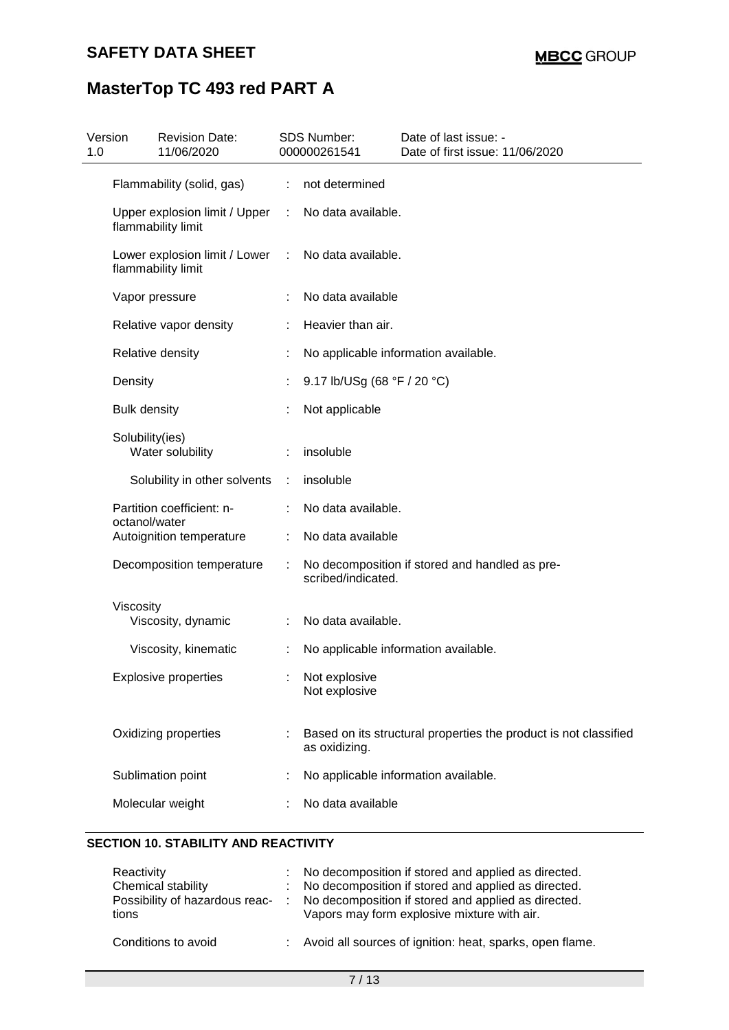| 1.0 | Version<br><b>Revision Date:</b><br>11/06/2020      |   | <b>SDS Number:</b><br>000000261541 | Date of last issue: -<br>Date of first issue: 11/06/2020         |
|-----|-----------------------------------------------------|---|------------------------------------|------------------------------------------------------------------|
|     | Flammability (solid, gas)                           | ÷ | not determined                     |                                                                  |
|     | Upper explosion limit / Upper<br>flammability limit |   | No data available.                 |                                                                  |
|     | Lower explosion limit / Lower<br>flammability limit | ÷ | No data available.                 |                                                                  |
|     | Vapor pressure                                      |   | No data available                  |                                                                  |
|     | Relative vapor density                              |   | Heavier than air.                  |                                                                  |
|     | Relative density                                    |   |                                    | No applicable information available.                             |
|     | Density                                             |   | 9.17 lb/USg (68 °F / 20 °C)        |                                                                  |
|     | <b>Bulk density</b>                                 |   | Not applicable                     |                                                                  |
|     | Solubility(ies)<br>Water solubility                 |   | insoluble                          |                                                                  |
|     | Solubility in other solvents                        | ÷ | insoluble                          |                                                                  |
|     | Partition coefficient: n-<br>octanol/water          |   | No data available.                 |                                                                  |
|     | Autoignition temperature                            |   | No data available                  |                                                                  |
|     | Decomposition temperature                           |   | scribed/indicated.                 | No decomposition if stored and handled as pre-                   |
|     | Viscosity<br>Viscosity, dynamic                     |   | No data available.                 |                                                                  |
|     | Viscosity, kinematic                                |   |                                    | No applicable information available.                             |
|     | <b>Explosive properties</b>                         |   | Not explosive<br>Not explosive     |                                                                  |
|     | Oxidizing properties                                |   | as oxidizing.                      | Based on its structural properties the product is not classified |
|     | Sublimation point                                   |   |                                    | No applicable information available.                             |
|     | Molecular weight                                    |   | No data available                  |                                                                  |

### **SECTION 10. STABILITY AND REACTIVITY**

| Reactivity<br>Chemical stability<br>Possibility of hazardous reac-<br>tions | : No decomposition if stored and applied as directed.<br>: No decomposition if stored and applied as directed.<br>: No decomposition if stored and applied as directed.<br>Vapors may form explosive mixture with air. |
|-----------------------------------------------------------------------------|------------------------------------------------------------------------------------------------------------------------------------------------------------------------------------------------------------------------|
| Conditions to avoid                                                         | : Avoid all sources of ignition: heat, sparks, open flame.                                                                                                                                                             |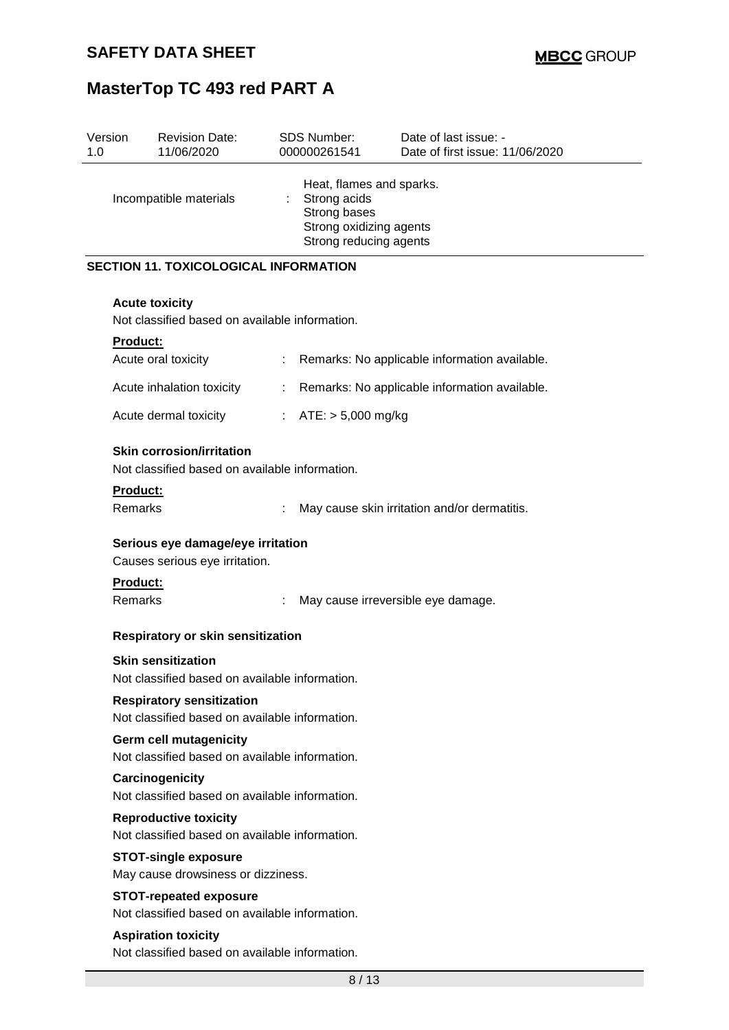| Version<br>1.0 | <b>Revision Date:</b><br>11/06/2020                                                |                                                                                                                     | <b>SDS Number:</b><br>000000261541 | Date of last issue: -<br>Date of first issue: 11/06/2020 |  |  |  |
|----------------|------------------------------------------------------------------------------------|---------------------------------------------------------------------------------------------------------------------|------------------------------------|----------------------------------------------------------|--|--|--|
|                | Incompatible materials                                                             | Heat, flames and sparks.<br>Strong acids<br>t.<br>Strong bases<br>Strong oxidizing agents<br>Strong reducing agents |                                    |                                                          |  |  |  |
|                | <b>SECTION 11. TOXICOLOGICAL INFORMATION</b>                                       |                                                                                                                     |                                    |                                                          |  |  |  |
|                | <b>Acute toxicity</b>                                                              |                                                                                                                     |                                    |                                                          |  |  |  |
|                | Not classified based on available information.                                     |                                                                                                                     |                                    |                                                          |  |  |  |
|                | Product:                                                                           |                                                                                                                     |                                    |                                                          |  |  |  |
|                | Acute oral toxicity                                                                |                                                                                                                     |                                    | Remarks: No applicable information available.            |  |  |  |
|                | Acute inhalation toxicity                                                          |                                                                                                                     |                                    | Remarks: No applicable information available.            |  |  |  |
|                | Acute dermal toxicity                                                              |                                                                                                                     | : $ATE: > 5,000 \text{ mg/kg}$     |                                                          |  |  |  |
|                | <b>Skin corrosion/irritation</b><br>Not classified based on available information. |                                                                                                                     |                                    |                                                          |  |  |  |
|                | Product:<br>Remarks                                                                | ÷                                                                                                                   |                                    | May cause skin irritation and/or dermatitis.             |  |  |  |
|                | Serious eye damage/eye irritation<br>Causes serious eye irritation.                |                                                                                                                     |                                    |                                                          |  |  |  |
|                | <b>Product:</b><br>Remarks                                                         |                                                                                                                     |                                    | May cause irreversible eye damage.                       |  |  |  |
|                | Respiratory or skin sensitization                                                  |                                                                                                                     |                                    |                                                          |  |  |  |
|                | <b>Skin sensitization</b><br>Not classified based on available information.        |                                                                                                                     |                                    |                                                          |  |  |  |
|                | <b>Respiratory sensitization</b><br>Not classified based on available information. |                                                                                                                     |                                    |                                                          |  |  |  |
|                | Germ cell mutagenicity<br>Not classified based on available information.           |                                                                                                                     |                                    |                                                          |  |  |  |
|                | Carcinogenicity<br>Not classified based on available information.                  |                                                                                                                     |                                    |                                                          |  |  |  |
|                | <b>Reproductive toxicity</b><br>Not classified based on available information.     |                                                                                                                     |                                    |                                                          |  |  |  |
|                | <b>STOT-single exposure</b><br>May cause drowsiness or dizziness.                  |                                                                                                                     |                                    |                                                          |  |  |  |
|                | <b>STOT-repeated exposure</b>                                                      |                                                                                                                     |                                    |                                                          |  |  |  |
|                | Not classified based on available information.                                     |                                                                                                                     |                                    |                                                          |  |  |  |
|                | <b>Aspiration toxicity</b><br>Not classified based on available information.       |                                                                                                                     |                                    |                                                          |  |  |  |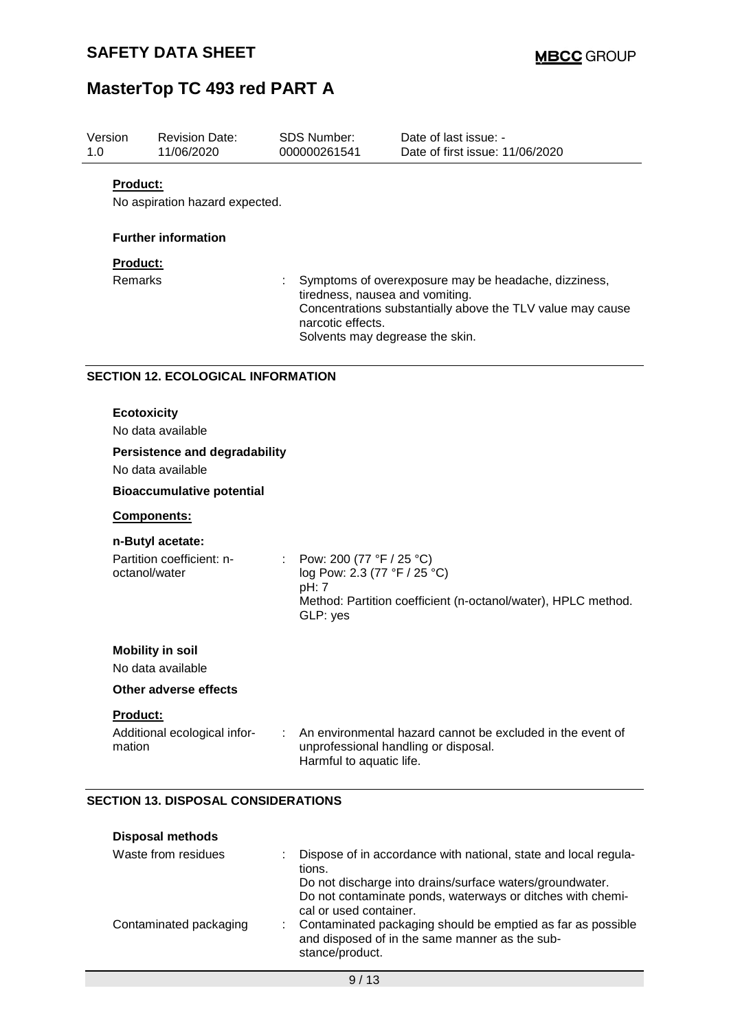| Version<br>1.0 |                    | <b>Revision Date:</b><br>11/06/2020                                   |    | <b>SDS Number:</b><br>000000261541                                                      | Date of last issue: -<br>Date of first issue: 11/06/2020                                                           |
|----------------|--------------------|-----------------------------------------------------------------------|----|-----------------------------------------------------------------------------------------|--------------------------------------------------------------------------------------------------------------------|
|                | <b>Product:</b>    | No aspiration hazard expected.                                        |    |                                                                                         |                                                                                                                    |
|                |                    | <b>Further information</b>                                            |    |                                                                                         |                                                                                                                    |
|                | Product:           |                                                                       |    |                                                                                         |                                                                                                                    |
|                | <b>Remarks</b>     |                                                                       |    | tiredness, nausea and vomiting.<br>narcotic effects.<br>Solvents may degrease the skin. | Symptoms of overexposure may be headache, dizziness,<br>Concentrations substantially above the TLV value may cause |
|                |                    | <b>SECTION 12. ECOLOGICAL INFORMATION</b>                             |    |                                                                                         |                                                                                                                    |
|                | <b>Ecotoxicity</b> | No data available                                                     |    |                                                                                         |                                                                                                                    |
|                |                    | <b>Persistence and degradability</b><br>No data available             |    |                                                                                         |                                                                                                                    |
|                |                    | <b>Bioaccumulative potential</b>                                      |    |                                                                                         |                                                                                                                    |
|                |                    | Components:                                                           |    |                                                                                         |                                                                                                                    |
|                |                    | n-Butyl acetate:                                                      |    |                                                                                         |                                                                                                                    |
|                | octanol/water      | Partition coefficient: n-                                             |    | Pow: 200 (77 °F / 25 °C)<br>log Pow: 2.3 (77 °F / 25 °C)<br>pH: 7<br>GLP: yes           | Method: Partition coefficient (n-octanol/water), HPLC method.                                                      |
|                |                    | <b>Mobility in soil</b>                                               |    |                                                                                         |                                                                                                                    |
|                |                    | No data available                                                     |    |                                                                                         |                                                                                                                    |
|                |                    | Other adverse effects                                                 |    |                                                                                         |                                                                                                                    |
|                | Product:           |                                                                       |    |                                                                                         |                                                                                                                    |
|                | mation             | Additional ecological infor-                                          | ÷. | Harmful to aquatic life.                                                                | An environmental hazard cannot be excluded in the event of<br>unprofessional handling or disposal.                 |
|                |                    | <b>SECTION 13. DISPOSAL CONSIDERATIONS</b><br><b>Disposal methods</b> |    |                                                                                         |                                                                                                                    |

| Waste from residues    | Dispose of in accordance with national, state and local regula-<br>tions.<br>Do not discharge into drains/surface waters/groundwater.                                                                                    |
|------------------------|--------------------------------------------------------------------------------------------------------------------------------------------------------------------------------------------------------------------------|
| Contaminated packaging | Do not contaminate ponds, waterways or ditches with chemi-<br>cal or used container.<br>Contaminated packaging should be emptied as far as possible<br>and disposed of in the same manner as the sub-<br>stance/product. |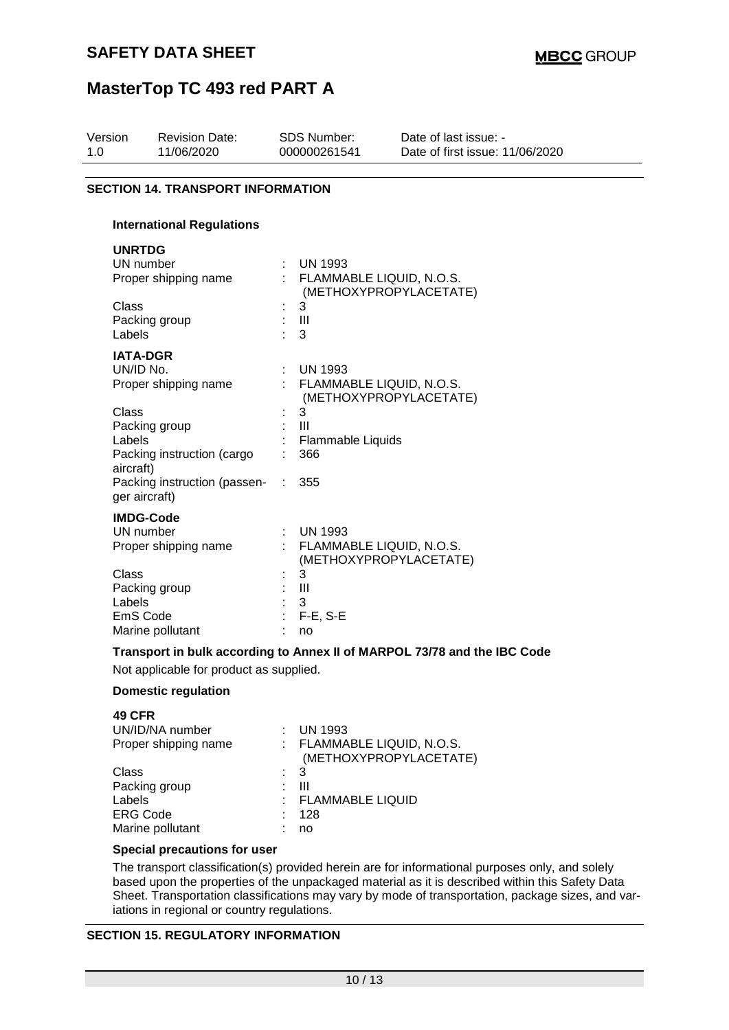| Version<br>1.0               | <b>Revision Date:</b><br>11/06/2020                   |           | <b>SDS Number:</b><br>000000261541               | Date of last issue: -<br>Date of first issue: 11/06/2020                 |
|------------------------------|-------------------------------------------------------|-----------|--------------------------------------------------|--------------------------------------------------------------------------|
|                              | <b>SECTION 14. TRANSPORT INFORMATION</b>              |           |                                                  |                                                                          |
|                              | <b>International Regulations</b>                      |           |                                                  |                                                                          |
| <b>UNRTDG</b>                |                                                       |           |                                                  |                                                                          |
|                              | UN number<br>Proper shipping name                     |           | $\therefore$ UN 1993<br>FLAMMABLE LIQUID, N.O.S. | (METHOXYPROPYLACETATE)                                                   |
| Class<br>Labels              | Packing group                                         |           | 3<br>$\mathbf{III}$<br>3                         |                                                                          |
|                              | <b>IATA-DGR</b><br>UN/ID No.<br>Proper shipping name  |           | <b>UN 1993</b><br>FLAMMABLE LIQUID, N.O.S.       | (METHOXYPROPYLACETATE)                                                   |
| Class<br>Labels<br>aircraft) | Packing group<br>Packing instruction (cargo           |           | 3<br>$\mathbf{III}$<br>Flammable Liquids<br>366  |                                                                          |
|                              | Packing instruction (passen-<br>ger aircraft)         | $\sim 20$ | 355                                              |                                                                          |
|                              | <b>IMDG-Code</b><br>UN number<br>Proper shipping name |           | <b>UN 1993</b><br>FLAMMABLE LIQUID, N.O.S.       |                                                                          |
| Class<br>Labels              | Packing group<br>EmS Code<br>Marine pollutant         |           | 3<br>$\mathbf{III}$<br>3<br>$F-E$ , S-E<br>no    | (METHOXYPROPYLACETATE)                                                   |
|                              | Not applicable for product as supplied.               |           |                                                  | Transport in bulk according to Annex II of MARPOL 73/78 and the IBC Code |
|                              | Damactic roquistion                                   |           |                                                  |                                                                          |

### **Domestic regulation**

| <b>49 CFR</b>        |                |                                                      |
|----------------------|----------------|------------------------------------------------------|
| UN/ID/NA number      |                | $\therefore$ UN 1993                                 |
| Proper shipping name |                | : FLAMMABLE LIQUID, N.O.S.<br>(METHOXYPROPYLACETATE) |
| Class                | $\therefore$ 3 |                                                      |
| Packing group        | ÷              | Ш                                                    |
| Labels               |                | : FLAMMABLE LIQUID                                   |
| <b>ERG Code</b>      |                | 128                                                  |
| Marine pollutant     |                | no                                                   |
|                      |                |                                                      |

### **Special precautions for user**

The transport classification(s) provided herein are for informational purposes only, and solely based upon the properties of the unpackaged material as it is described within this Safety Data Sheet. Transportation classifications may vary by mode of transportation, package sizes, and variations in regional or country regulations.

#### **SECTION 15. REGULATORY INFORMATION**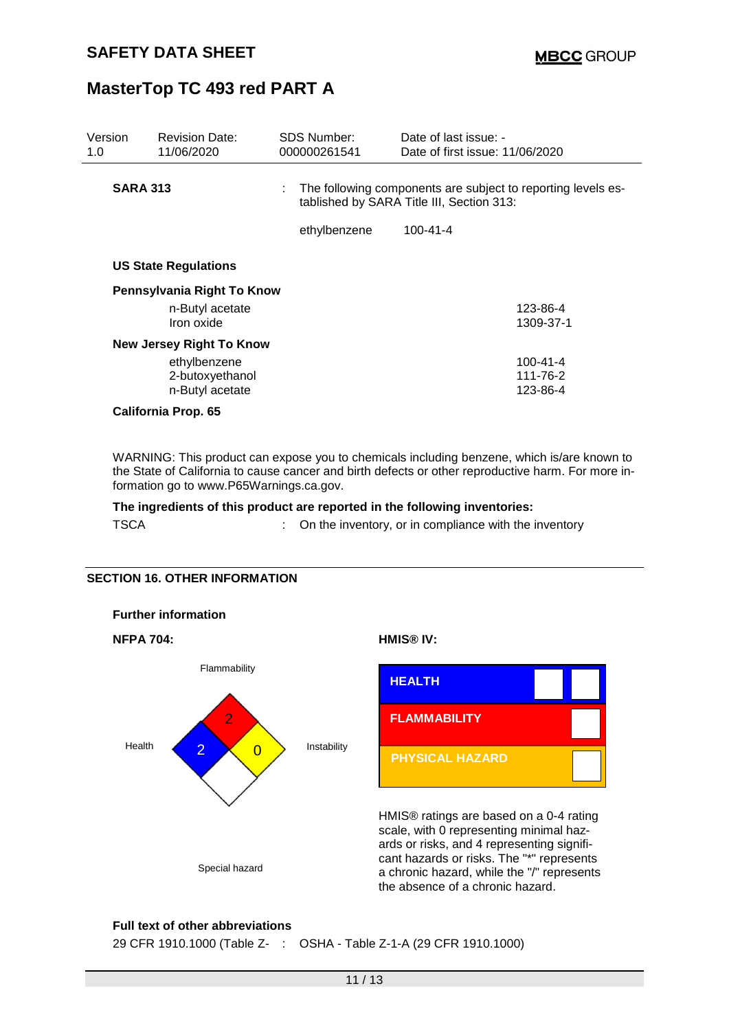| Version<br>1.0 | <b>Revision Date:</b><br>11/06/2020 |  | <b>SDS Number:</b><br>000000261541                                                                              | Date of last issue: -<br>Date of first issue: 11/06/2020 |                |
|----------------|-------------------------------------|--|-----------------------------------------------------------------------------------------------------------------|----------------------------------------------------------|----------------|
|                | <b>SARA 313</b>                     |  | The following components are subject to reporting levels es-<br>÷.<br>tablished by SARA Title III, Section 313: |                                                          |                |
|                |                                     |  | ethylbenzene                                                                                                    | $100 - 41 - 4$                                           |                |
|                | <b>US State Regulations</b>         |  |                                                                                                                 |                                                          |                |
|                | Pennsylvania Right To Know          |  |                                                                                                                 |                                                          |                |
|                | n-Butyl acetate                     |  |                                                                                                                 |                                                          | 123-86-4       |
|                | Iron oxide                          |  |                                                                                                                 |                                                          | 1309-37-1      |
|                | <b>New Jersey Right To Know</b>     |  |                                                                                                                 |                                                          |                |
|                | ethylbenzene                        |  |                                                                                                                 |                                                          | $100 - 41 - 4$ |
|                | 2-butoxyethanol                     |  |                                                                                                                 |                                                          | 111-76-2       |
|                | n-Butyl acetate                     |  |                                                                                                                 |                                                          | 123-86-4       |
|                | California Prop. 65                 |  |                                                                                                                 |                                                          |                |

WARNING: This product can expose you to chemicals including benzene, which is/are known to the State of California to cause cancer and birth defects or other reproductive harm. For more information go to www.P65Warnings.ca.gov.

**The ingredients of this product are reported in the following inventories:**

TSCA **:** On the inventory, or in compliance with the inventory

#### **SECTION 16. OTHER INFORMATION**



#### **Full text of other abbreviations**

29 CFR 1910.1000 (Table Z- : OSHA - Table Z-1-A (29 CFR 1910.1000)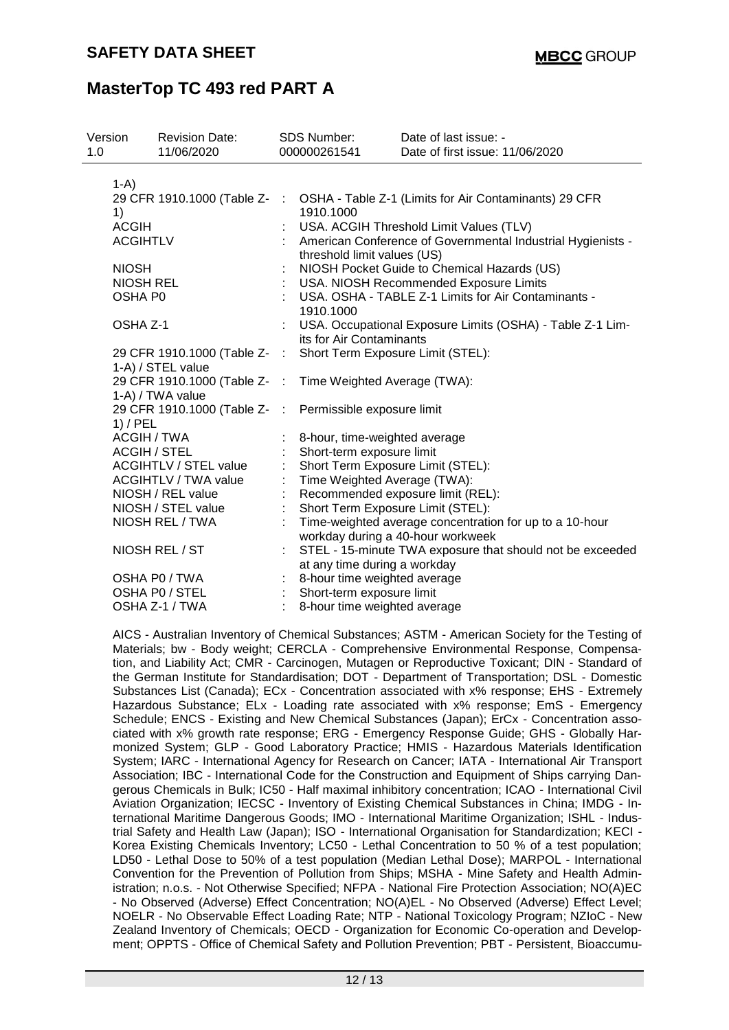| Version<br>1.0 | <b>Revision Date:</b><br>11/06/2020            |                         | <b>SDS Number:</b><br>000000261541                        | Date of last issue: -<br>Date of first issue: 11/06/2020    |  |  |
|----------------|------------------------------------------------|-------------------------|-----------------------------------------------------------|-------------------------------------------------------------|--|--|
|                |                                                |                         |                                                           |                                                             |  |  |
| $1-A$          |                                                |                         |                                                           |                                                             |  |  |
|                | 29 CFR 1910.1000 (Table Z-                     | ÷                       |                                                           | OSHA - Table Z-1 (Limits for Air Contaminants) 29 CFR       |  |  |
| 1)             |                                                |                         | 1910.1000                                                 |                                                             |  |  |
| <b>ACGIH</b>   |                                                |                         |                                                           | USA. ACGIH Threshold Limit Values (TLV)                     |  |  |
|                | <b>ACGIHTLV</b>                                |                         |                                                           | American Conference of Governmental Industrial Hygienists - |  |  |
|                |                                                |                         | threshold limit values (US)                               |                                                             |  |  |
| <b>NIOSH</b>   |                                                |                         |                                                           | NIOSH Pocket Guide to Chemical Hazards (US)                 |  |  |
|                | <b>NIOSH REL</b>                               |                         |                                                           | USA. NIOSH Recommended Exposure Limits                      |  |  |
|                | OSHA P0                                        |                         |                                                           | USA. OSHA - TABLE Z-1 Limits for Air Contaminants -         |  |  |
|                |                                                |                         | 1910.1000                                                 |                                                             |  |  |
|                | OSHA Z-1                                       |                         | USA. Occupational Exposure Limits (OSHA) - Table Z-1 Lim- |                                                             |  |  |
|                |                                                |                         | its for Air Contaminants                                  |                                                             |  |  |
|                | 29 CFR 1910.1000 (Table Z- :                   |                         | Short Term Exposure Limit (STEL):                         |                                                             |  |  |
|                | 1-A) / STEL value                              |                         |                                                           |                                                             |  |  |
|                | 29 CFR 1910.1000 (Table Z-                     | $\sim$ 1.               | Time Weighted Average (TWA):                              |                                                             |  |  |
|                | 1-A) / TWA value<br>29 CFR 1910.1000 (Table Z- | $\langle \cdot \rangle$ |                                                           |                                                             |  |  |
|                | $1)$ / PEL                                     |                         | Permissible exposure limit                                |                                                             |  |  |
|                | <b>ACGIH / TWA</b>                             |                         | 8-hour, time-weighted average                             |                                                             |  |  |
|                | <b>ACGIH / STEL</b>                            |                         | Short-term exposure limit                                 |                                                             |  |  |
|                | <b>ACGIHTLV / STEL value</b>                   |                         | Short Term Exposure Limit (STEL):                         |                                                             |  |  |
|                | ACGIHTLV / TWA value                           | ÷.                      | Time Weighted Average (TWA):                              |                                                             |  |  |
|                | NIOSH / REL value                              |                         |                                                           | Recommended exposure limit (REL):                           |  |  |
|                | NIOSH / STEL value                             |                         | Short Term Exposure Limit (STEL):                         |                                                             |  |  |
|                | NIOSH REL / TWA                                |                         |                                                           | Time-weighted average concentration for up to a 10-hour     |  |  |
|                |                                                |                         |                                                           | workday during a 40-hour workweek                           |  |  |
|                | NIOSH REL / ST                                 |                         |                                                           | STEL - 15-minute TWA exposure that should not be exceeded   |  |  |
|                |                                                |                         | at any time during a workday                              |                                                             |  |  |
|                | OSHA P0 / TWA                                  |                         | 8-hour time weighted average                              |                                                             |  |  |
|                | OSHA P0 / STEL                                 |                         | Short-term exposure limit                                 |                                                             |  |  |
|                | OSHA Z-1 / TWA                                 |                         | 8-hour time weighted average                              |                                                             |  |  |

AICS - Australian Inventory of Chemical Substances; ASTM - American Society for the Testing of Materials; bw - Body weight; CERCLA - Comprehensive Environmental Response, Compensation, and Liability Act; CMR - Carcinogen, Mutagen or Reproductive Toxicant; DIN - Standard of the German Institute for Standardisation; DOT - Department of Transportation; DSL - Domestic Substances List (Canada); ECx - Concentration associated with x% response; EHS - Extremely Hazardous Substance; ELx - Loading rate associated with x% response; EmS - Emergency Schedule; ENCS - Existing and New Chemical Substances (Japan); ErCx - Concentration associated with x% growth rate response; ERG - Emergency Response Guide; GHS - Globally Harmonized System; GLP - Good Laboratory Practice; HMIS - Hazardous Materials Identification System; IARC - International Agency for Research on Cancer; IATA - International Air Transport Association; IBC - International Code for the Construction and Equipment of Ships carrying Dangerous Chemicals in Bulk; IC50 - Half maximal inhibitory concentration; ICAO - International Civil Aviation Organization; IECSC - Inventory of Existing Chemical Substances in China; IMDG - International Maritime Dangerous Goods; IMO - International Maritime Organization; ISHL - Industrial Safety and Health Law (Japan); ISO - International Organisation for Standardization; KECI - Korea Existing Chemicals Inventory; LC50 - Lethal Concentration to 50 % of a test population; LD50 - Lethal Dose to 50% of a test population (Median Lethal Dose); MARPOL - International Convention for the Prevention of Pollution from Ships; MSHA - Mine Safety and Health Administration; n.o.s. - Not Otherwise Specified; NFPA - National Fire Protection Association; NO(A)EC - No Observed (Adverse) Effect Concentration; NO(A)EL - No Observed (Adverse) Effect Level; NOELR - No Observable Effect Loading Rate; NTP - National Toxicology Program; NZIoC - New Zealand Inventory of Chemicals; OECD - Organization for Economic Co-operation and Development; OPPTS - Office of Chemical Safety and Pollution Prevention; PBT - Persistent, Bioaccumu-